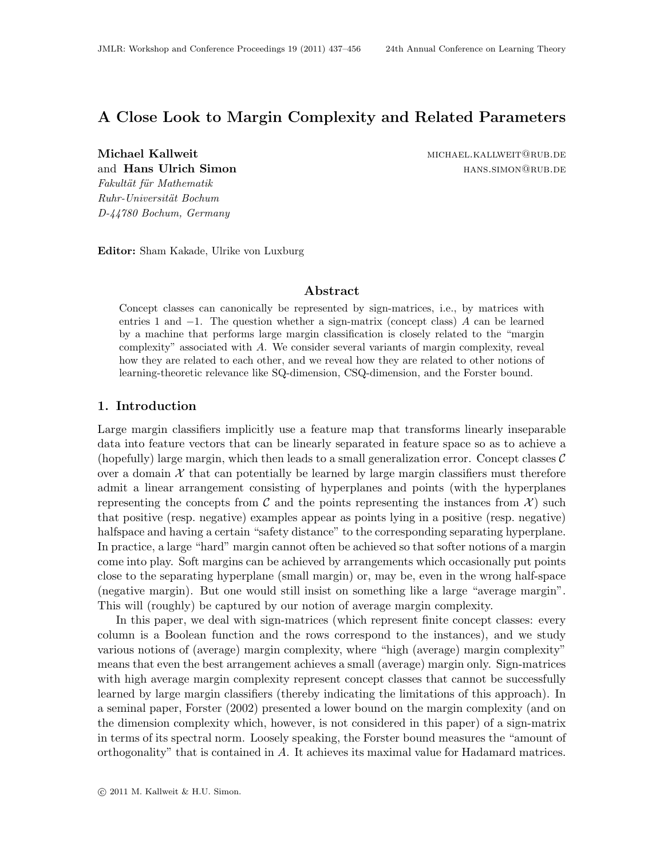# <span id="page-0-0"></span>A Close Look to Margin Complexity and Related Parameters

Fakultät für Mathematik Ruhr-Universität Bochum D-44780 Bochum, Germany

Michael Kallweit michael.kallweit michael.kallweit michael.kallweit michael.kallweit michael.kallweit michael. and **Hans Ulrich Simon** hans and **Hans** Ulrich Simon

Editor: Sham Kakade, Ulrike von Luxburg

### Abstract

Concept classes can canonically be represented by sign-matrices, i.e., by matrices with entries 1 and −1. The question whether a sign-matrix (concept class) A can be learned by a machine that performs large margin classification is closely related to the "margin complexity" associated with A. We consider several variants of margin complexity, reveal how they are related to each other, and we reveal how they are related to other notions of learning-theoretic relevance like SQ-dimension, CSQ-dimension, and the Forster bound.

### 1. Introduction

Large margin classifiers implicitly use a feature map that transforms linearly inseparable data into feature vectors that can be linearly separated in feature space so as to achieve a (hopefully) large margin, which then leads to a small generalization error. Concept classes  $\mathcal{C}$ over a domain  $\mathcal X$  that can potentially be learned by large margin classifiers must therefore admit a linear arrangement consisting of hyperplanes and points (with the hyperplanes representing the concepts from C and the points representing the instances from  $\mathcal{X}$  such that positive (resp. negative) examples appear as points lying in a positive (resp. negative) halfspace and having a certain "safety distance" to the corresponding separating hyperplane. In practice, a large "hard" margin cannot often be achieved so that softer notions of a margin come into play. Soft margins can be achieved by arrangements which occasionally put points close to the separating hyperplane (small margin) or, may be, even in the wrong half-space (negative margin). But one would still insist on something like a large "average margin". This will (roughly) be captured by our notion of average margin complexity.

In this paper, we deal with sign-matrices (which represent finite concept classes: every column is a Boolean function and the rows correspond to the instances), and we study various notions of (average) margin complexity, where "high (average) margin complexity" means that even the best arrangement achieves a small (average) margin only. Sign-matrices with high average margin complexity represent concept classes that cannot be successfully learned by large margin classifiers (thereby indicating the limitations of this approach). In a seminal paper, [Forster](#page-18-0) [\(2002\)](#page-18-0) presented a lower bound on the margin complexity (and on the dimension complexity which, however, is not considered in this paper) of a sign-matrix in terms of its spectral norm. Loosely speaking, the Forster bound measures the "amount of orthogonality" that is contained in A. It achieves its maximal value for Hadamard matrices.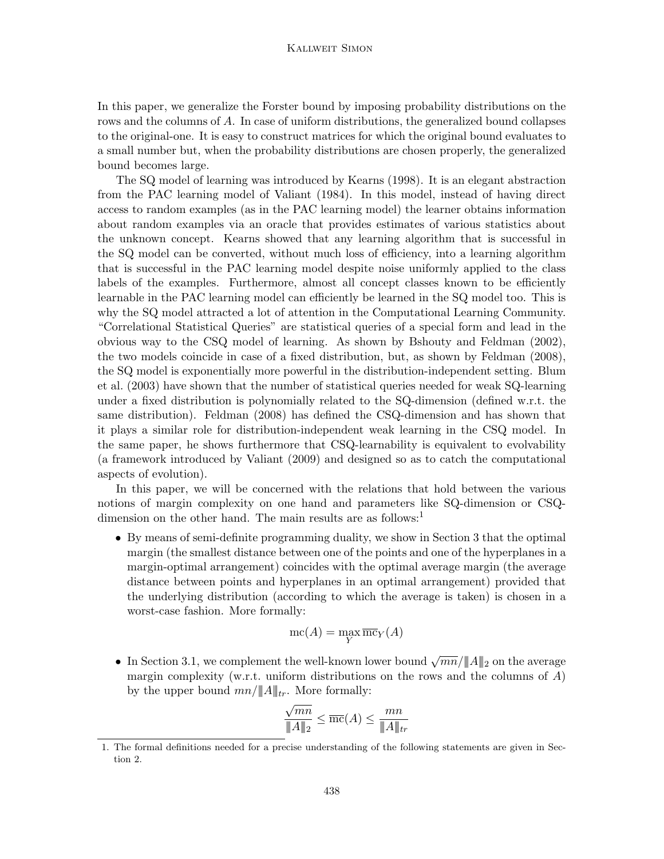#### Kallweit Simon

In this paper, we generalize the Forster bound by imposing probability distributions on the rows and the columns of A. In case of uniform distributions, the generalized bound collapses to the original-one. It is easy to construct matrices for which the original bound evaluates to a small number but, when the probability distributions are chosen properly, the generalized bound becomes large.

The SQ model of learning was introduced by [Kearns](#page-18-1) [\(1998\)](#page-18-1). It is an elegant abstraction from the PAC learning model of [Valiant](#page-18-2) [\(1984\)](#page-18-2). In this model, instead of having direct access to random examples (as in the PAC learning model) the learner obtains information about random examples via an oracle that provides estimates of various statistics about the unknown concept. Kearns showed that any learning algorithm that is successful in the SQ model can be converted, without much loss of efficiency, into a learning algorithm that is successful in the PAC learning model despite noise uniformly applied to the class labels of the examples. Furthermore, almost all concept classes known to be efficiently learnable in the PAC learning model can efficiently be learned in the SQ model too. This is why the SQ model attracted a lot of attention in the Computational Learning Community. "Correlational Statistical Queries" are statistical queries of a special form and lead in the obvious way to the CSQ model of learning. As shown by [Bshouty and Feldman](#page-18-3) [\(2002\)](#page-18-3), the two models coincide in case of a fixed distribution, but, as shown by [Feldman](#page-18-4) [\(2008\)](#page-18-4), the SQ model is exponentially more powerful in the distribution-independent setting. [Blum](#page-17-0) [et al.](#page-17-0) [\(2003\)](#page-17-0) have shown that the number of statistical queries needed for weak SQ-learning under a fixed distribution is polynomially related to the SQ-dimension (defined w.r.t. the same distribution). [Feldman](#page-18-4) [\(2008\)](#page-18-4) has defined the CSQ-dimension and has shown that it plays a similar role for distribution-independent weak learning in the CSQ model. In the same paper, he shows furthermore that CSQ-learnability is equivalent to evolvability (a framework introduced by [Valiant](#page-18-5) [\(2009\)](#page-18-5) and designed so as to catch the computational aspects of evolution).

In this paper, we will be concerned with the relations that hold between the various notions of margin complexity on one hand and parameters like SQ-dimension or CSQ-dimension on the other hand. The main results are as follows:<sup>[1](#page-1-0)</sup>

• By means of semi-definite programming duality, we show in Section [3](#page-6-0) that the optimal margin (the smallest distance between one of the points and one of the hyperplanes in a margin-optimal arrangement) coincides with the optimal average margin (the average distance between points and hyperplanes in an optimal arrangement) provided that the underlying distribution (according to which the average is taken) is chosen in a worst-case fashion. More formally:

$$
\operatorname{mc}(A) = \max_{Y} \overline{\operatorname{mc}}_{Y}(A)
$$

• In Section [3.1,](#page-9-0) we complement the well-known lower bound  $\sqrt{mn}/||A||_2$  on the average margin complexity (w.r.t. uniform distributions on the rows and the columns of  $A$ ) by the upper bound  $mn/\|A\|_{tr}$ . More formally:

$$
\frac{\sqrt{mn}}{\|A\|_2} \le \overline{mc}(A) \le \frac{mn}{\|A\|_{tr}}
$$

<span id="page-1-0"></span><sup>1.</sup> The formal definitions needed for a precise understanding of the following statements are given in Section [2.](#page-2-0)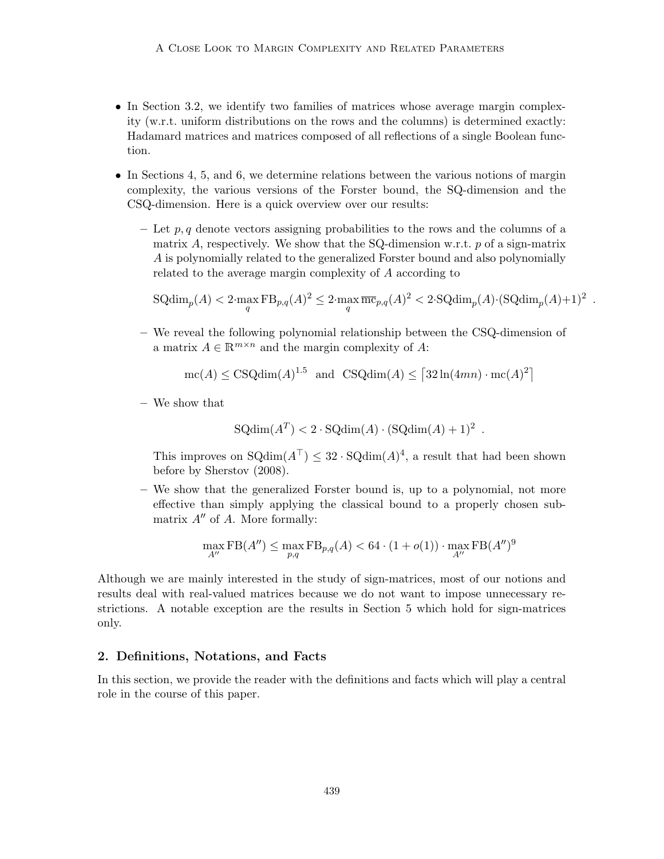- In Section [3.2,](#page-10-0) we identify two families of matrices whose average margin complexity (w.r.t. uniform distributions on the rows and the columns) is determined exactly: Hadamard matrices and matrices composed of all reflections of a single Boolean function.
- In Sections [4,](#page-11-0) [5,](#page-13-0) and [6,](#page-14-0) we determine relations between the various notions of margin complexity, the various versions of the Forster bound, the SQ-dimension and the CSQ-dimension. Here is a quick overview over our results:
	- Let p, q denote vectors assigning probabilities to the rows and the columns of a matrix A, respectively. We show that the SQ-dimension w.r.t.  $p$  of a sign-matrix A is polynomially related to the generalized Forster bound and also polynomially related to the average margin complexity of A according to

$$
SQdim_p(A) < 2 \cdot \max_q FB_{p,q}(A)^2 \leq 2 \cdot \max_q \overline{\text{mc}}_{p,q}(A)^2 < 2 \cdot SQdim_p(A) \cdot (SQdim_p(A) + 1)^2.
$$

– We reveal the following polynomial relationship between the CSQ-dimension of a matrix  $A \in \mathbb{R}^{m \times n}$  and the margin complexity of A:

 $mc(A) \leq CSQdim(A)^{1.5}$  and  $CSQdim(A) \leq \lceil 32\ln(4mn) \cdot mc(A)^2 \rceil$ 

– We show that

$$
SQdim(A^T) < 2 \cdot SQdim(A) \cdot (SQdim(A) + 1)^2
$$

.

This improves on  $\text{SQdim}(A^{\top}) \leq 32 \cdot \text{SQdim}(A)^4$ , a result that had been shown before by [Sherstov](#page-18-6) [\(2008\)](#page-18-6).

– We show that the generalized Forster bound is, up to a polynomial, not more effective than simply applying the classical bound to a properly chosen submatrix  $A''$  of A. More formally:

$$
\max_{A''} \mathrm{FB}(A'') \le \max_{p,q} \mathrm{FB}_{p,q}(A) < 64 \cdot (1 + o(1)) \cdot \max_{A''} \mathrm{FB}(A'')^9
$$

Although we are mainly interested in the study of sign-matrices, most of our notions and results deal with real-valued matrices because we do not want to impose unnecessary restrictions. A notable exception are the results in Section [5](#page-13-0) which hold for sign-matrices only.

# <span id="page-2-0"></span>2. Definitions, Notations, and Facts

In this section, we provide the reader with the definitions and facts which will play a central role in the course of this paper.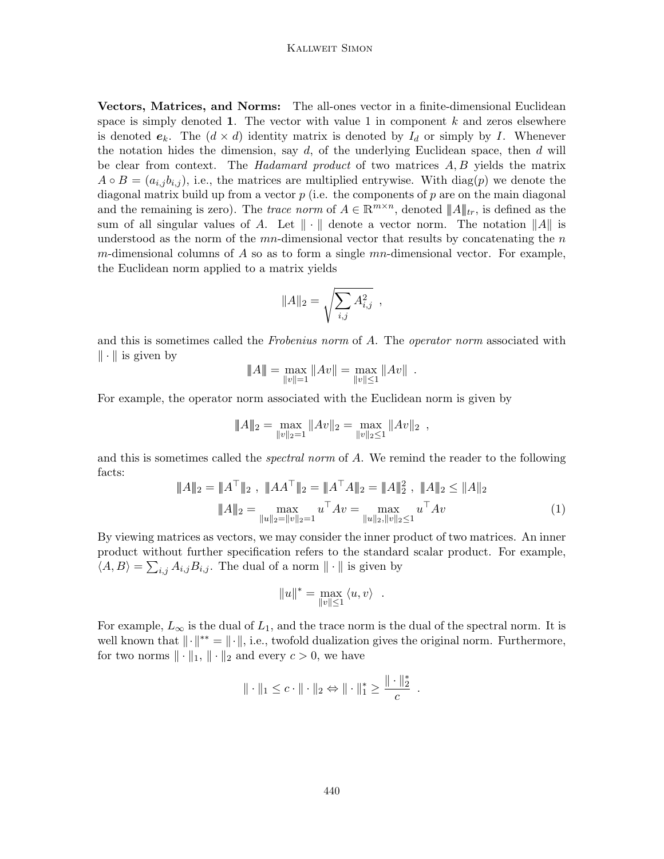#### Kallweit Simon

Vectors, Matrices, and Norms: The all-ones vector in a finite-dimensional Euclidean space is simply denoted 1. The vector with value 1 in component  $k$  and zeros elsewhere is denoted  $e_k$ . The  $(d \times d)$  identity matrix is denoted by  $I_d$  or simply by I. Whenever the notation hides the dimension, say  $d$ , of the underlying Euclidean space, then  $d$  will be clear from context. The *Hadamard product* of two matrices  $A, B$  yields the matrix  $A \circ B = (a_{i,j}b_{i,j}),$  i.e., the matrices are multiplied entrywise. With  $diag(p)$  we denote the diagonal matrix build up from a vector  $p$  (i.e. the components of  $p$  are on the main diagonal and the remaining is zero). The *trace norm* of  $A \in \mathbb{R}^{m \times n}$ , denoted  $||A||_{tr}$ , is defined as the sum of all singular values of A. Let  $\|\cdot\|$  denote a vector norm. The notation  $\|A\|$  is understood as the norm of the  $mn$ -dimensional vector that results by concatenating the  $n$ m-dimensional columns of A so as to form a single  $mn$ -dimensional vector. For example, the Euclidean norm applied to a matrix yields

$$
||A||_2 = \sqrt{\sum_{i,j} A_{i,j}^2} ,
$$

and this is sometimes called the Frobenius norm of A. The operator norm associated with  $\|\cdot\|$  is given by

$$
||A|| = \max_{||v||=1} ||Av|| = \max_{||v|| \le 1} ||Av||.
$$

For example, the operator norm associated with the Euclidean norm is given by

$$
||A||_2 = \max_{||v||_2=1} ||Av||_2 = \max_{||v||_2\leq 1} ||Av||_2,
$$

and this is sometimes called the *spectral norm* of A. We remind the reader to the following facts:

<span id="page-3-0"></span>
$$
\|A\|_2 = \|A^\top\|_2, \quad \|AA^\top\|_2 = \|A^\top A\|_2 = \|A\|_2^2, \quad \|A\|_2 \le \|A\|_2
$$

$$
\|A\|_2 = \max_{\|u\|_2 = \|v\|_2 = 1} u^\top Av = \max_{\|u\|_2, \|v\|_2 \le 1} u^\top Av \tag{1}
$$

By viewing matrices as vectors, we may consider the inner product of two matrices. An inner product without further specification refers to the standard scalar product. For example,  $\langle A, B \rangle = \sum_{i,j} A_{i,j} B_{i,j}$ . The dual of a norm  $\| \cdot \|$  is given by

$$
||u||^* = \max_{||v|| \le 1} \langle u, v \rangle .
$$

For example,  $L_{\infty}$  is the dual of  $L_1$ , and the trace norm is the dual of the spectral norm. It is well known that  $\|\cdot\|^{**} = \|\cdot\|$ , i.e., twofold dualization gives the original norm. Furthermore, for two norms  $\|\cdot\|_1, \|\cdot\|_2$  and every  $c > 0$ , we have

$$
\|\cdot\|_1 \leq c \cdot \|\cdot\|_2 \Leftrightarrow \|\cdot\|_1^* \geq \frac{\|\cdot\|_2^*}{c}.
$$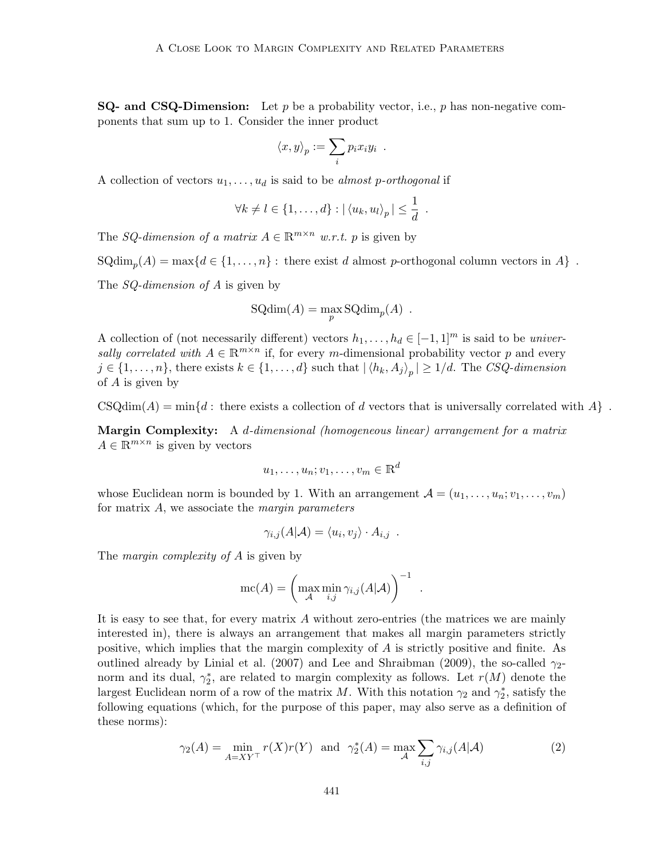**SQ- and CSQ-Dimension:** Let p be a probability vector, i.e., p has non-negative components that sum up to 1. Consider the inner product

$$
\langle x, y \rangle_p := \sum_i p_i x_i y_i .
$$

A collection of vectors  $u_1, \ldots, u_d$  is said to be almost p-orthogonal if

$$
\forall k \neq l \in \{1, \ldots, d\} : |\langle u_k, u_l \rangle_p| \leq \frac{1}{d}
$$

.

.

The SQ-dimension of a matrix  $A \in \mathbb{R}^{m \times n}$  w.r.t. p is given by

 $\text{SQdim}_p(A) = \max\{d \in \{1, ..., n\} : \text{there exist } d \text{ almost } p\text{-orthogonal column vectors in } A\}$ .

The *SQ-dimension of A* is given by

$$
SQdim(A) = \max_{p} SQdim_p(A) .
$$

A collection of (not necessarily different) vectors  $h_1, \ldots, h_d \in [-1, 1]^m$  is said to be universally correlated with  $A \in \mathbb{R}^{m \times n}$  if, for every m-dimensional probability vector p and every  $j \in \{1, \ldots, n\}$ , there exists  $k \in \{1, \ldots, d\}$  such that  $|\langle h_k, A_j \rangle_p| \geq 1/d$ . The CSQ-dimension of A is given by

 $CSQdim(A) = min{d$ : there exists a collection of d vectors that is universally correlated with A  $\}$ .

Margin Complexity: A d-dimensional (homogeneous linear) arrangement for a matrix  $A \in \mathbb{R}^{m \times n}$  is given by vectors

$$
u_1, \ldots, u_n; v_1, \ldots, v_m \in \mathbb{R}^d
$$

whose Euclidean norm is bounded by 1. With an arrangement  $\mathcal{A} = (u_1, \ldots, u_n; v_1, \ldots, v_m)$ for matrix A, we associate the margin parameters

$$
\gamma_{i,j}(A|\mathcal{A}) = \langle u_i, v_j \rangle \cdot A_{i,j} .
$$

The *margin complexity of A* is given by

$$
\text{mc}(A) = \left(\max_{\mathcal{A}} \min_{i,j} \gamma_{i,j}(A|\mathcal{A})\right)^{-1}
$$

It is easy to see that, for every matrix A without zero-entries (the matrices we are mainly interested in), there is always an arrangement that makes all margin parameters strictly positive, which implies that the margin complexity of A is strictly positive and finite. As outlined already by [Linial et al.](#page-18-7) [\(2007\)](#page-18-7) and [Lee and Shraibman](#page-18-8) [\(2009\)](#page-18-8), the so-called  $\gamma_{2}$ norm and its dual,  $\gamma_2^*$ , are related to margin complexity as follows. Let  $r(M)$  denote the largest Euclidean norm of a row of the matrix M. With this notation  $\gamma_2$  and  $\gamma_2^*$ , satisfy the following equations (which, for the purpose of this paper, may also serve as a definition of these norms):

<span id="page-4-0"></span>
$$
\gamma_2(A) = \min_{A=XY^{\top}} r(X)r(Y) \text{ and } \gamma_2^*(A) = \max_{\mathcal{A}} \sum_{i,j} \gamma_{i,j}(A|\mathcal{A})
$$
 (2)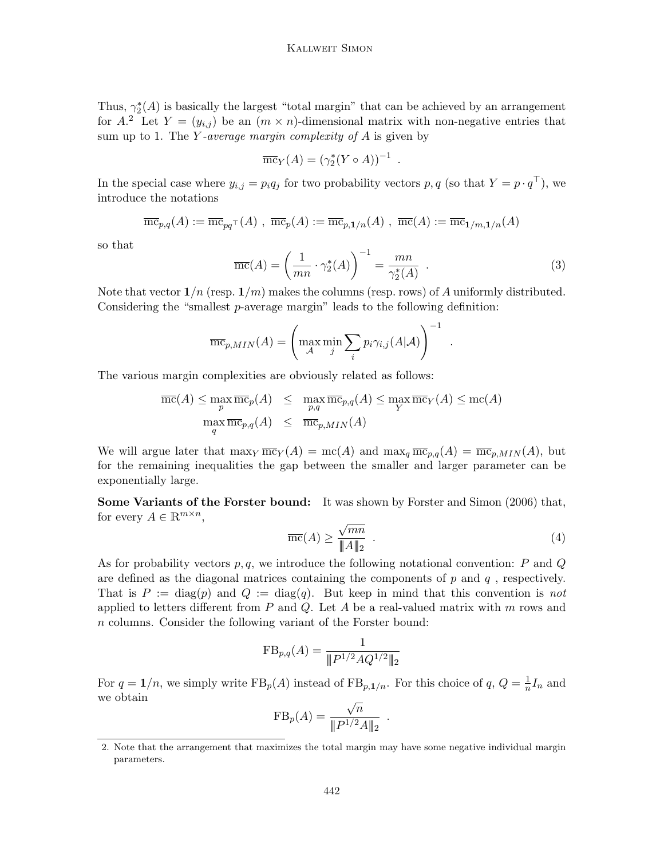Thus,  $\gamma_2^*(A)$  is basically the largest "total margin" that can be achieved by an arrangement for A.<sup>[2](#page-5-0)</sup> Let  $Y = (y_{i,j})$  be an  $(m \times n)$ -dimensional matrix with non-negative entries that sum up to 1. The Y-average margin complexity of  $A$  is given by

$$
\overline{\text{mc}}_Y(A) = (\gamma_2^*(Y \circ A))^{-1}
$$

In the special case where  $y_{i,j} = p_i q_j$  for two probability vectors  $p, q$  (so that  $Y = p \cdot q^\top$ ), we introduce the notations

$$
\overline{\mathrm{mc}}_{p,q}(A) := \overline{\mathrm{mc}}_{pq\top}(A) , \ \overline{\mathrm{mc}}_p(A) := \overline{\mathrm{mc}}_{p,\mathbf{1}/n}(A) , \ \overline{\mathrm{mc}}(A) := \overline{\mathrm{mc}}_{\mathbf{1}/m,\mathbf{1}/n}(A)
$$

so that

<span id="page-5-2"></span>
$$
\overline{\text{mc}}(A) = \left(\frac{1}{mn} \cdot \gamma_2^*(A)\right)^{-1} = \frac{mn}{\gamma_2^*(A)} \tag{3}
$$

.

Note that vector  $1/n$  (resp.  $1/m$ ) makes the columns (resp. rows) of A uniformly distributed. Considering the "smallest p-average margin" leads to the following definition:

$$
\overline{\text{mc}}_{p,MIN}(A) = \left(\max_{\mathcal{A}} \min_{j} \sum_{i} p_i \gamma_{i,j}(A|\mathcal{A})\right)^{-1}
$$

The various margin complexities are obviously related as follows:

$$
\overline{\text{mc}}(A) \le \max_{p} \overline{\text{mc}}_p(A) \le \max_{p,q} \overline{\text{mc}}_{p,q}(A) \le \max_{Y} \overline{\text{mc}}_Y(A) \le \text{mc}(A)
$$
  

$$
\max_{q} \overline{\text{mc}}_{p,q}(A) \le \overline{\text{mc}}_{p,MIN}(A)
$$

We will argue later that  $\max_Y \overline{\text{mc}}_Y(A) = \text{mc}(A)$  and  $\max_q \overline{\text{mc}}_{p,q}(A) = \overline{\text{mc}}_{p,MIN}(A)$ , but for the remaining inequalities the gap between the smaller and larger parameter can be exponentially large.

Some Variants of the Forster bound: It was shown by [Forster and Simon](#page-18-9) [\(2006\)](#page-18-9) that, for every  $A \in \mathbb{R}^{m \times n}$ , √

<span id="page-5-1"></span>
$$
\overline{\text{mc}}(A) \ge \frac{\sqrt{mn}}{\|A\|_2} \tag{4}
$$

.

As for probability vectors  $p, q$ , we introduce the following notational convention: P and Q are defined as the diagonal matrices containing the components of  $p$  and  $q$ , respectively. That is  $P := diag(p)$  and  $Q := diag(q)$ . But keep in mind that this convention is not applied to letters different from  $P$  and  $Q$ . Let  $A$  be a real-valued matrix with  $m$  rows and n columns. Consider the following variant of the Forster bound:

$$
FB_{p,q}(A) = \frac{1}{\|P^{1/2}AQ^{1/2}\|_2}
$$

For  $q = 1/n$ , we simply write  $\text{FB}_p(A)$  instead of  $\text{FB}_{p,1/n}$ . For this choice of  $q, Q = \frac{1}{n}$  $\frac{1}{n}I_n$  and we obtain √

$$
FB_p(A) = \frac{\sqrt{n}}{\|P^{1/2}A\|_2}
$$

.

<span id="page-5-0"></span><sup>2.</sup> Note that the arrangement that maximizes the total margin may have some negative individual margin parameters.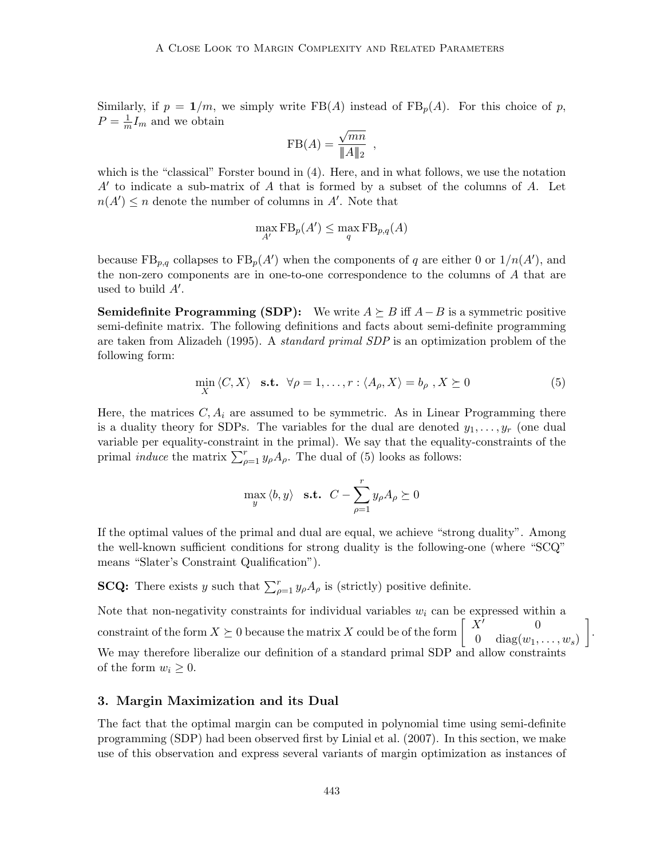Similarly, if  $p = 1/m$ , we simply write FB(A) instead of FB<sub>p</sub>(A). For this choice of p,  $P=\frac{1}{n}$  $\frac{1}{m}I_m$  and we obtain √

$$
FB(A) = \frac{\sqrt{mn}}{\|A\|_2} ,
$$

which is the "classical" Forster bound in [\(4\)](#page-5-1). Here, and in what follows, we use the notation  $A'$  to indicate a sub-matrix of  $A$  that is formed by a subset of the columns of  $A$ . Let  $n(A') \leq n$  denote the number of columns in A'. Note that

$$
\max_{A'} \operatorname{FB}_p(A') \le \max_q \operatorname{FB}_{p,q}(A)
$$

because  $\text{FB}_{p,q}$  collapses to  $\text{FB}_p(A')$  when the components of q are either 0 or  $1/n(A')$ , and the non-zero components are in one-to-one correspondence to the columns of A that are used to build  $A'$ .

**Semidefinite Programming (SDP):** We write  $A \succeq B$  iff  $A - B$  is a symmetric positive semi-definite matrix. The following definitions and facts about semi-definite programming are taken from [Alizadeh](#page-17-1) [\(1995\)](#page-17-1). A standard primal SDP is an optimization problem of the following form:

<span id="page-6-1"></span>
$$
\min_{X} \langle C, X \rangle \quad \text{s.t.} \quad \forall \rho = 1, \dots, r : \langle A_{\rho}, X \rangle = b_{\rho}, X \succeq 0 \tag{5}
$$

Here, the matrices  $C, A_i$  are assumed to be symmetric. As in Linear Programming there is a duality theory for SDPs. The variables for the dual are denoted  $y_1, \ldots, y_r$  (one dual variable per equality-constraint in the primal). We say that the equality-constraints of the primal *induce* the matrix  $\sum_{\rho=1}^{r} y_{\rho} A_{\rho}$ . The dual of [\(5\)](#page-6-1) looks as follows:

$$
\max_{y} \langle b, y \rangle \quad \text{s.t.} \quad C - \sum_{\rho=1}^{r} y_{\rho} A_{\rho} \succeq 0
$$

If the optimal values of the primal and dual are equal, we achieve "strong duality". Among the well-known sufficient conditions for strong duality is the following-one (where "SCQ" means "Slater's Constraint Qualification").

**SCQ:** There exists y such that  $\sum_{\rho=1}^{r} y_{\rho} A_{\rho}$  is (strictly) positive definite.

Note that non-negativity constraints for individual variables  $w_i$  can be expressed within a constraint of the form  $X \succeq 0$  because the matrix X could be of the form  $\begin{bmatrix} X' \\ 0 \end{bmatrix}$  $X'$  0  $0 \quad \text{diag}(w_1, \ldots, w_s)$  . We may therefore liberalize our definition of a standard primal SDP and allow constraints of the form  $w_i \geq 0$ .

# <span id="page-6-0"></span>3. Margin Maximization and its Dual

The fact that the optimal margin can be computed in polynomial time using semi-definite programming (SDP) had been observed first by [Linial et al.](#page-18-7) [\(2007\)](#page-18-7). In this section, we make use of this observation and express several variants of margin optimization as instances of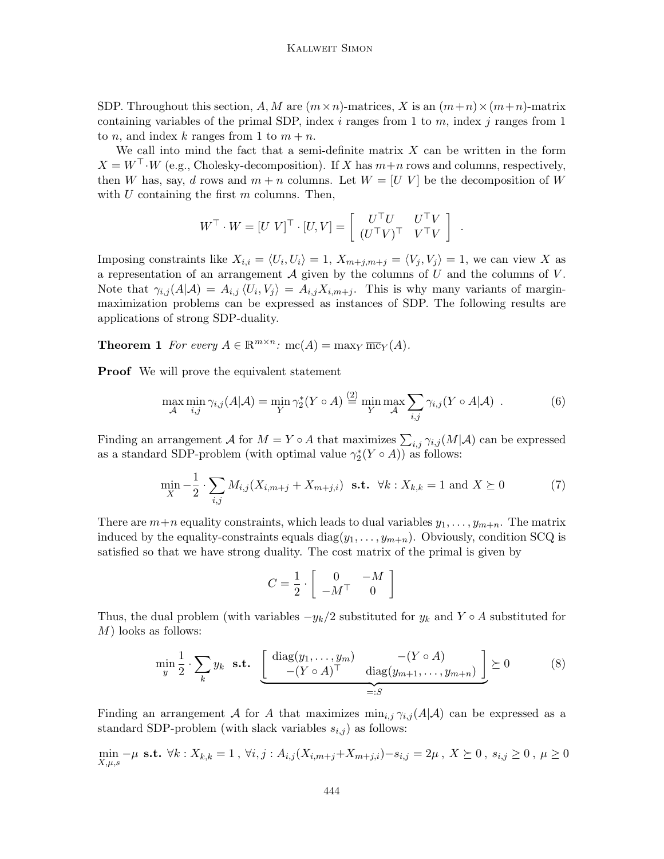SDP. Throughout this section, A, M are  $(m \times n)$ -matrices, X is an  $(m+n) \times (m+n)$ -matrix containing variables of the primal SDP, index i ranges from 1 to  $m$ , index j ranges from 1 to *n*, and index *k* ranges from 1 to  $m + n$ .

We call into mind the fact that a semi-definite matrix  $X$  can be written in the form  $X = W^{\perp} \cdot W$  (e.g., Cholesky-decomposition). If X has  $m+n$  rows and columns, respectively, then W has, say, d rows and  $m + n$  columns. Let  $W = [U V]$  be the decomposition of W with  $U$  containing the first  $m$  columns. Then,

$$
W^{\top} \cdot W = [U \ V]^{\top} \cdot [U, V] = \left[ \begin{array}{cc} U^{\top} U & U^{\top} V \\ (U^{\top} V)^{\top} & V^{\top} V \end{array} \right]
$$

.

Imposing constraints like  $X_{i,i} = \langle U_i, U_i \rangle = 1, X_{m+j,m+j} = \langle V_j, V_j \rangle = 1$ , we can view X as a representation of an arrangement  $A$  given by the columns of  $U$  and the columns of  $V$ . Note that  $\gamma_{i,j}(A|\mathcal{A}) = A_{i,j} \langle U_i, V_j \rangle = A_{i,j}X_{i,m+j}$ . This is why many variants of marginmaximization problems can be expressed as instances of SDP. The following results are applications of strong SDP-duality.

<span id="page-7-2"></span>**Theorem 1** For every  $A \in \mathbb{R}^{m \times n}$ :  $mc(A) = max_Y \overline{mc}_Y(A)$ .

**Proof** We will prove the equivalent statement

<span id="page-7-1"></span>
$$
\max_{\mathcal{A}} \min_{i,j} \gamma_{i,j}(A|\mathcal{A}) = \min_{Y} \gamma_2^*(Y \circ A) \stackrel{(2)}{=} \min_{Y} \max_{\mathcal{A}} \sum_{i,j} \gamma_{i,j}(Y \circ A|\mathcal{A}) \tag{6}
$$

Finding an arrangement  $\mathcal A$  for  $M = Y \circ A$  that maximizes  $\sum_{i,j} \gamma_{i,j}(M|\mathcal A)$  can be expressed as a standard SDP-problem (with optimal value  $\gamma_2^*(Y \circ A)$ ) as follows:

$$
\min_{X} -\frac{1}{2} \cdot \sum_{i,j} M_{i,j}(X_{i,m+j} + X_{m+j,i}) \text{ s.t. } \forall k : X_{k,k} = 1 \text{ and } X \succeq 0 \tag{7}
$$

There are  $m+n$  equality constraints, which leads to dual variables  $y_1, \ldots, y_{m+n}$ . The matrix induced by the equality-constraints equals diag $(y_1, \ldots, y_{m+n})$ . Obviously, condition SCQ is satisfied so that we have strong duality. The cost matrix of the primal is given by

$$
C = \frac{1}{2} \cdot \left[ \begin{array}{cc} 0 & -M \\ -M^\top & 0 \end{array} \right]
$$

Thus, the dual problem (with variables  $-y_k/2$  substituted for  $y_k$  and Y ◦ A substituted for M) looks as follows:

<span id="page-7-0"></span>
$$
\min_{y} \frac{1}{2} \cdot \sum_{k} y_k \quad \text{s.t.} \quad \underbrace{\left[ \begin{array}{c} \text{diag}(y_1, \dots, y_m) & -(Y \circ A) \\ -(Y \circ A)^{\top} & \text{diag}(y_{m+1}, \dots, y_{m+n}) \end{array} \right]}_{=:S} \succeq 0 \tag{8}
$$

Finding an arrangement A for A that maximizes  $\min_{i,j} \gamma_{i,j}(A|\mathcal{A})$  can be expressed as a standard SDP-problem (with slack variables  $s_{i,j}$ ) as follows:

$$
\min_{X,\mu,s} -\mu \text{ s.t. } \forall k : X_{k,k} = 1, \ \forall i,j : A_{i,j}(X_{i,m+j} + X_{m+j,i}) - s_{i,j} = 2\mu, \ X \succeq 0, \ s_{i,j} \ge 0, \ \mu \ge 0
$$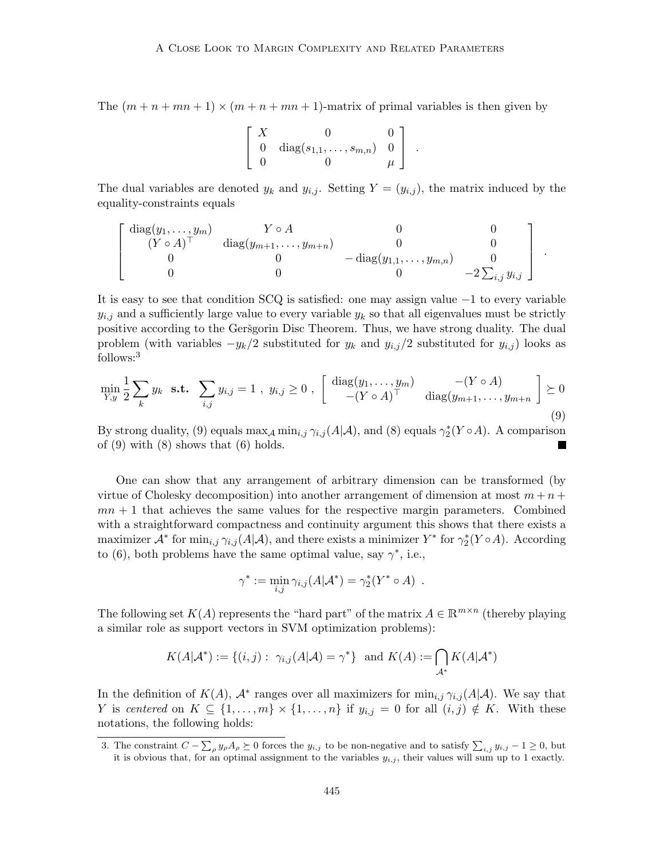The  $(m+n+mn+1) \times (m+n+mn+1)$ -matrix of primal variables is then given by

$$
\left[\begin{array}{ccc} X & 0 & 0 \\ 0 & \text{diag}(s_{1,1},\ldots,s_{m,n}) & 0 \\ 0 & 0 & \mu \end{array}\right] .
$$

The dual variables are denoted  $y_k$  and  $y_{i,j}$ . Setting  $Y = (y_{i,j})$ , the matrix induced by the equality-constraints equals

$$
\begin{bmatrix}\n\text{diag}(y_1, \ldots, y_m) & Y \circ A & 0 & 0 \\
(Y \circ A)^\top & \text{diag}(y_{m+1}, \ldots, y_{m+n}) & 0 & 0 \\
0 & 0 & -\text{diag}(y_{1,1}, \ldots, y_{m,n}) & 0 \\
0 & 0 & 0 & -2\sum_{i,j} y_{i,j}\n\end{bmatrix}
$$

.

It is easy to see that condition SCQ is satisfied: one may assign value −1 to every variable  $y_{i,j}$  and a sufficiently large value to every variable  $y_k$  so that all eigenvalues must be strictly positive according to the Geršgorin Disc Theorem. Thus, we have strong duality. The dual problem (with variables  $-y_k/2$  substituted for  $y_k$  and  $y_{i,j}/2$  substituted for  $y_{i,j}$ ) looks as follows:[3](#page-8-0)

<span id="page-8-1"></span>
$$
\min_{Y,y} \frac{1}{2} \sum_{k} y_k \text{ s.t. } \sum_{i,j} y_{i,j} = 1 , y_{i,j} \ge 0 , \begin{bmatrix} \text{diag}(y_1, \dots, y_m) & -(Y \circ A) \\ -(Y \circ A)^{\top} & \text{diag}(y_{m+1}, \dots, y_{m+n}) \end{bmatrix} \succeq 0
$$
\n(9)

By strong duality, [\(9\)](#page-8-1) equals  $\max_{\mathcal{A}} \min_{i,j} \gamma_{i,j}(A|\mathcal{A})$ , and [\(8\)](#page-7-0) equals  $\gamma_2^*(Y \circ A)$ . A comparison of  $(9)$  with  $(8)$  shows that  $(6)$  holds.

One can show that any arrangement of arbitrary dimension can be transformed (by virtue of Cholesky decomposition) into another arrangement of dimension at most  $m + n +$  $mn + 1$  that achieves the same values for the respective margin parameters. Combined with a straightforward compactness and continuity argument this shows that there exists a maximizer  $\mathcal{A}^*$  for  $\min_{i,j} \gamma_{i,j}(A|\mathcal{A})$ , and there exists a minimizer  $Y^*$  for  $\gamma_2^*(Y \circ A)$ . According to [\(6\)](#page-7-1), both problems have the same optimal value, say  $\gamma^*$ , i.e.,

$$
\gamma^* := \min_{i,j} \gamma_{i,j}(A|\mathcal{A}^*) = \gamma_2^*(Y^* \circ A) .
$$

The following set  $K(A)$  represents the "hard part" of the matrix  $A \in \mathbb{R}^{m \times n}$  (thereby playing a similar role as support vectors in SVM optimization problems):

$$
K(A|\mathcal{A}^*) := \{(i,j) : \ \gamma_{i,j}(A|\mathcal{A}) = \gamma^*\} \ \text{ and } K(A) := \bigcap_{\mathcal{A}^*} K(A|\mathcal{A}^*)
$$

In the definition of  $K(A)$ ,  $\mathcal{A}^*$  ranges over all maximizers for  $\min_{i,j} \gamma_{i,j}(A|\mathcal{A})$ . We say that Y is centered on  $K \subseteq \{1, \ldots, m\} \times \{1, \ldots, n\}$  if  $y_{i,j} = 0$  for all  $(i,j) \notin K$ . With these notations, the following holds:

<span id="page-8-0"></span><sup>3.</sup> The constraint  $C - \sum_{\rho} y_{\rho} A_{\rho} \succeq 0$  forces the  $y_{i,j}$  to be non-negative and to satisfy  $\sum_{i,j} y_{i,j} - 1 \ge 0$ , but it is obvious that, for an optimal assignment to the variables  $y_{i,j}$ , their values will sum up to 1 exactly.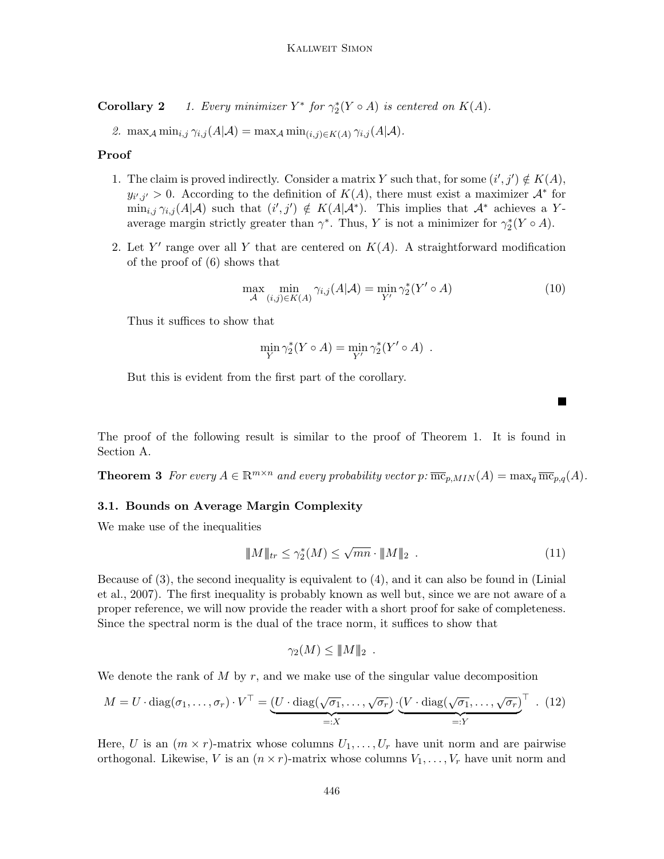**Corollary 2** 1. Every minimizer  $Y^*$  for  $\gamma_2^*(Y \circ A)$  is centered on  $K(A)$ .

2. max<sub>A</sub> min<sub>i,j</sub>  $\gamma_{i,j}(A|\mathcal{A}) = \max_{\mathcal{A}} \min_{(i,j)\in K(A)} \gamma_{i,j}(A|\mathcal{A}).$ 

### Proof

- 1. The claim is proved indirectly. Consider a matrix Y such that, for some  $(i', j') \notin K(A)$ ,  $y_{i',j'} > 0$ . According to the definition of  $K(A)$ , there must exist a maximizer  $\mathcal{A}^*$  for  $\min_{i,j} \gamma_{i,j}(A|\mathcal{A})$  such that  $(i',j') \notin K(A|\mathcal{A}^*)$ . This implies that  $\mathcal{A}^*$  achieves a Yaverage margin strictly greater than  $\gamma^*$ . Thus, Y is not a minimizer for  $\gamma_2^*(Y \circ A)$ .
- 2. Let Y' range over all Y that are centered on  $K(A)$ . A straightforward modification of the proof of [\(6\)](#page-7-1) shows that

$$
\max_{\mathcal{A}} \min_{(i,j)\in K(A)} \gamma_{i,j}(A|\mathcal{A}) = \min_{Y'} \gamma_2^*(Y' \circ A)
$$
\n(10)

Thus it suffices to show that

$$
\min_{Y} \gamma_2^*(Y \circ A) = \min_{Y'} \gamma_2^*(Y' \circ A) .
$$

But this is evident from the first part of the corollary.

The proof of the following result is similar to the proof of Theorem [1.](#page-7-2) It is found in Section [A.](#page-18-10)

**Theorem 3** For every  $A \in \mathbb{R}^{m \times n}$  and every probability vector  $p: \overline{\text{mc}}_{p,MIN}(A) = \max_q \overline{\text{mc}}_{p,q}(A)$ .

#### <span id="page-9-0"></span>3.1. Bounds on Average Margin Complexity

We make use of the inequalities

<span id="page-9-1"></span>
$$
\|M\|_{tr} \le \gamma_2^*(M) \le \sqrt{mn} \cdot \|M\|_2 \tag{11}
$$

Because of [\(3\)](#page-5-2), the second inequality is equivalent to [\(4\)](#page-5-1), and it can also be found in [\(Linial](#page-18-7) [et al., 2007\)](#page-18-7). The first inequality is probably known as well but, since we are not aware of a proper reference, we will now provide the reader with a short proof for sake of completeness. Since the spectral norm is the dual of the trace norm, it suffices to show that

$$
\gamma_2(M) \leq \|M\|_2.
$$

We denote the rank of  $M$  by  $r$ , and we make use of the singular value decomposition

<span id="page-9-2"></span>
$$
M = U \cdot \text{diag}(\sigma_1, \dots, \sigma_r) \cdot V^\top = \underbrace{(U \cdot \text{diag}(\sqrt{\sigma_1}, \dots, \sqrt{\sigma_r})}_{=:X} \cdot \underbrace{(V \cdot \text{diag}(\sqrt{\sigma_1}, \dots, \sqrt{\sigma_r})}_{=:Y})^\top. (12)
$$

Here, U is an  $(m \times r)$ -matrix whose columns  $U_1, \ldots, U_r$  have unit norm and are pairwise orthogonal. Likewise, V is an  $(n \times r)$ -matrix whose columns  $V_1, \ldots, V_r$  have unit norm and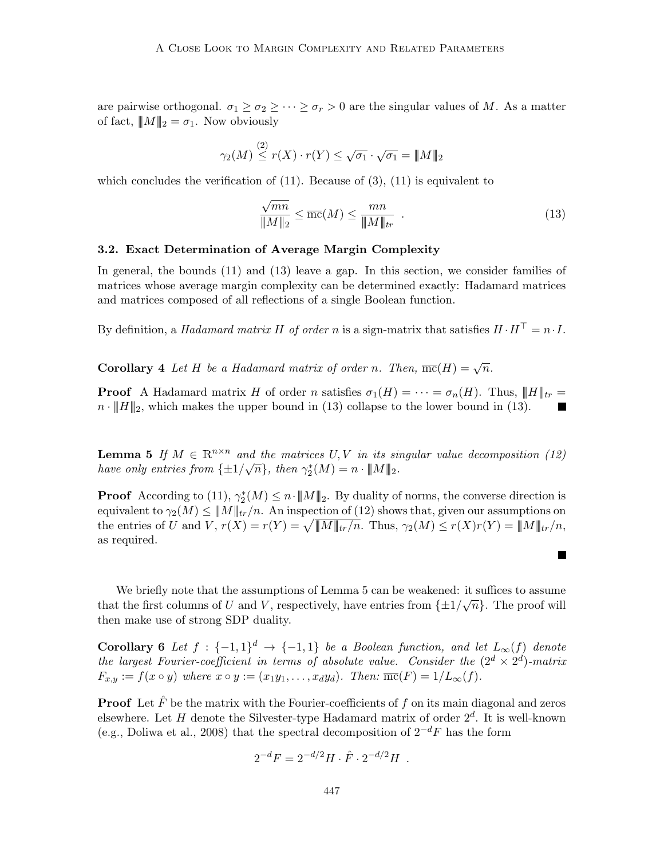are pairwise orthogonal.  $\sigma_1 \geq \sigma_2 \geq \cdots \geq \sigma_r > 0$  are the singular values of M. As a matter of fact,  $||M||_2 = \sigma_1$ . Now obviously

$$
\gamma_2(M) \stackrel{(2)}{\leq} r(X) \cdot r(Y) \leq \sqrt{\sigma_1} \cdot \sqrt{\sigma_1} = ||M||_2
$$

which concludes the verification of  $(11)$ . Because of  $(3)$ ,  $(11)$  is equivalent to

<span id="page-10-1"></span>
$$
\frac{\sqrt{mn}}{\|M\|_2} \le \overline{mc}(M) \le \frac{mn}{\|M\|_{tr}}.
$$
\n(13)

 $\blacksquare$ 

#### <span id="page-10-0"></span>3.2. Exact Determination of Average Margin Complexity

In general, the bounds [\(11\)](#page-9-1) and [\(13\)](#page-10-1) leave a gap. In this section, we consider families of matrices whose average margin complexity can be determined exactly: Hadamard matrices and matrices composed of all reflections of a single Boolean function.

By definition, a *Hadamard matrix H of order n* is a sign-matrix that satisfies  $H \cdot H^{\top} = n \cdot I$ .

**Corollary** 4 Let H be a Hadamard matrix of order n. Then,  $\overline{mc}(H) = \sqrt{n}$ .

**Proof** A Hadamard matrix H of order n satisfies  $\sigma_1(H) = \cdots = \sigma_n(H)$ . Thus,  $||H||_{tr} =$  $n \cdot \|H\|_2$ , which makes the upper bound in [\(13\)](#page-10-1) collapse to the lower bound in (13). п

<span id="page-10-2"></span>**Lemma 5** If  $M \in \mathbb{R}^{n \times n}$  and the matrices U, V in its singular value decomposition [\(12\)](#page-9-2) **Lemma 3** If  $M \in \mathbb{R}$  and the matrices  $O, V$  in its still<br>have only entries from  $\{\pm 1/\sqrt{n}\}$ , then  $\gamma_2^*(M) = n \cdot ||M||_2$ .

**Proof** According to [\(11\)](#page-9-1),  $\gamma_2^*(M) \leq n \cdot ||M||_2$ . By duality of norms, the converse direction is equivalent to  $\gamma_2(M) \leq ||M||_{tr}/n$ . An inspection of [\(12\)](#page-9-2) shows that, given our assumptions on the entries of U and V,  $r(X) = r(Y) = \sqrt{\|M\|_{tr}/n}$ . Thus,  $\gamma_2(M) \le r(X)r(Y) = \|M\|_{tr}/n$ , as required.

We briefly note that the assumptions of Lemma [5](#page-10-2) can be weakened: it suffices to assume that the first columns of U and V, respectively, have entries from  $\{\pm 1/\sqrt{n}\}$ . The proof will then make use of strong SDP duality.

**Corollary 6** Let  $f : \{-1,1\}^d \rightarrow \{-1,1\}$  be a Boolean function, and let  $L_{\infty}(f)$  denote the largest Fourier-coefficient in terms of absolute value. Consider the  $(2^d \times 2^d)$ -matrix  $F_{x,y} := f(x \circ y)$  where  $x \circ y := (x_1y_1, \ldots, x_dy_d)$ . Then:  $\overline{\text{mc}}(F) = 1/L_\infty(f)$ .

**Proof** Let  $\hat{F}$  be the matrix with the Fourier-coefficients of f on its main diagonal and zeros elsewhere. Let H denote the Silvester-type Hadamard matrix of order  $2<sup>d</sup>$ . It is well-known (e.g., [Doliwa et al., 2008\)](#page-18-11) that the spectral decomposition of  $2^{-d}F$  has the form

$$
2^{-d}F = 2^{-d/2}H \cdot \hat{F} \cdot 2^{-d/2}H .
$$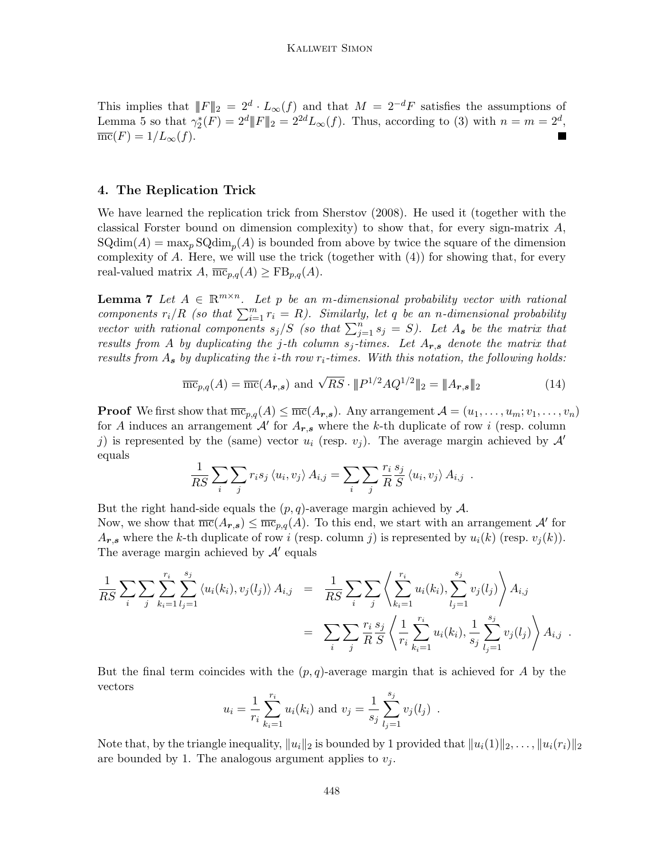This implies that  $||F||_2 = 2^d \cdot L_\infty(f)$  and that  $M = 2^{-d}F$  satisfies the assumptions of Lemma [5](#page-10-2) so that  $\gamma_2^*(F) = 2^d ||F||_2 = 2^{2d} L_\infty(f)$ . Thus, according to [\(3\)](#page-5-2) with  $n = m = 2^d$ ,  $\overline{\text{mc}}(F) = 1/L_{\infty}(f).$  $\blacksquare$ 

# <span id="page-11-0"></span>4. The Replication Trick

We have learned the replication trick from [Sherstov](#page-18-6) [\(2008\)](#page-18-6). He used it (together with the classical Forster bound on dimension complexity) to show that, for every sign-matrix  $A$ ,  $\text{SQdim}(A) = \max_{p} \text{SQdim}_{p}(A)$  is bounded from above by twice the square of the dimension complexity of  $A$ . Here, we will use the trick (together with  $(4)$ ) for showing that, for every real-valued matrix  $A$ ,  $\overline{\text{mc}}_{p,q}(A) \geq \text{FB}_{p,q}(A)$ .

<span id="page-11-2"></span>**Lemma 7** Let  $A \in \mathbb{R}^{m \times n}$ . Let p be an m-dimensional probability vector with rational components  $r_i/R$  (so that  $\sum_{i=1}^m r_i = R$ ). Similarly, let q be an n-dimensional probability vector with rational components  $s_j/S$  (so that  $\sum_{j=1}^n s_j = S$ ). Let  $A_s$  be the matrix that results from A by duplicating the j-th column  $s_j$ -times. Let  $A_{r,s}$  denote the matrix that results from  $A_s$  by duplicating the *i*-th row  $r_i$ -times. With this notation, the following holds:

<span id="page-11-1"></span>
$$
\overline{\text{mc}}_{p,q}(A) = \overline{\text{mc}}(A_{r,s}) \text{ and } \sqrt{RS} \cdot ||P^{1/2}AQ^{1/2}||_2 = ||A_{r,s}||_2 \tag{14}
$$

**Proof** We first show that  $\overline{mc}_{p,q}(A) \leq \overline{mc}(A_{r,s})$ . Any arrangement  $A = (u_1, \ldots, u_m; v_1, \ldots, v_n)$ for A induces an arrangement  $\mathcal{A}'$  for  $A_{r,s}$  where the k-th duplicate of row i (resp. column j) is represented by the (same) vector  $u_i$  (resp.  $v_j$ ). The average margin achieved by  $\mathcal{A}'$ equals

$$
\frac{1}{RS} \sum_{i} \sum_{j} r_i s_j \langle u_i, v_j \rangle A_{i,j} = \sum_{i} \sum_{j} \frac{r_i s_j}{R} \langle u_i, v_j \rangle A_{i,j} .
$$

But the right hand-side equals the  $(p, q)$ -average margin achieved by A. Now, we show that  $\overline{mc}(A_{r,s}) \leq \overline{mc}_{p,q}(A)$ . To this end, we start with an arrangement  $\mathcal{A}'$  for  $A_{r,s}$  where the k-th duplicate of row i (resp. column j) is represented by  $u_i(k)$  (resp.  $v_i(k)$ ). The average margin achieved by  $\mathcal{A}'$  equals

$$
\frac{1}{RS} \sum_{i} \sum_{j} \sum_{k_i=1}^{r_i} \sum_{l_j=1}^{s_j} \langle u_i(k_i), v_j(l_j) \rangle A_{i,j} = \frac{1}{RS} \sum_{i} \sum_{j} \left\langle \sum_{k_i=1}^{r_i} u_i(k_i), \sum_{l_j=1}^{s_j} v_j(l_j) \right\rangle A_{i,j} \n= \sum_{i} \sum_{j} \frac{r_i}{R} \frac{s_j}{S} \left\langle \frac{1}{r_i} \sum_{k_i=1}^{r_i} u_i(k_i), \frac{1}{s_j} \sum_{l_j=1}^{s_j} v_j(l_j) \right\rangle A_{i,j}.
$$

But the final term coincides with the  $(p, q)$ -average margin that is achieved for A by the vectors

$$
u_i = \frac{1}{r_i} \sum_{k_i=1}^{r_i} u_i(k_i)
$$
 and  $v_j = \frac{1}{s_j} \sum_{l_j=1}^{s_j} v_j(l_j)$ .

Note that, by the triangle inequality,  $||u_i||_2$  is bounded by 1 provided that  $||u_i(1)||_2, \ldots, ||u_i(r_i)||_2$ are bounded by 1. The analogous argument applies to  $v_i$ .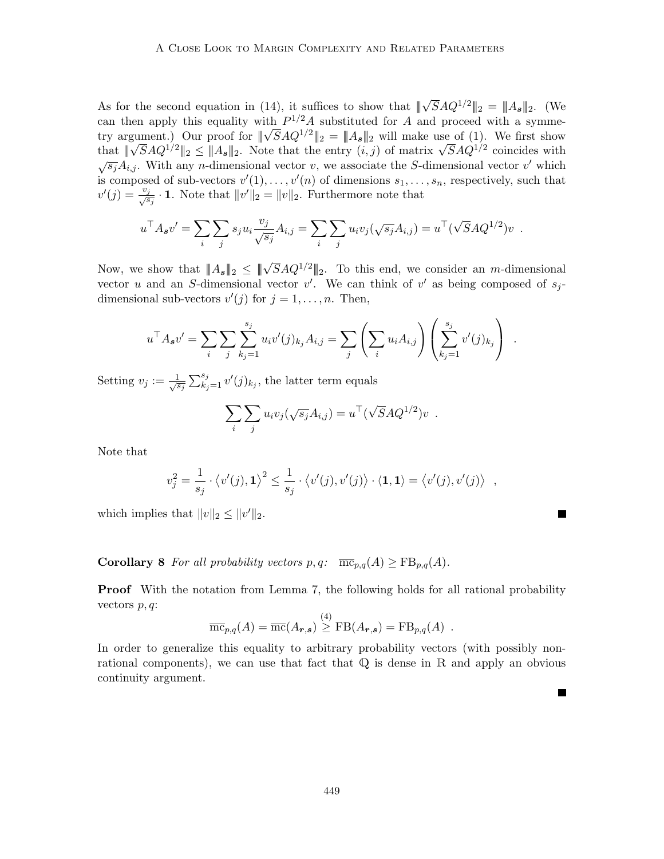As for the second equation in [\(14\)](#page-11-1), it suffices to show that  $\|\sqrt{S}AQ^{1/2}\|_2 = \|A_{s}\|_2$ . (We can then apply this equality with  $P^{1/2}A$  substituted for A and proceed with a symmecan then apply this equality with  $P^{-1}A$  substituted for A and proceed with a symmetry argument.) Our proof for  $\|\sqrt{S}AQ^{1/2}\|_2 = \|A_s\|_2$  will make use of [\(1\)](#page-3-0). We first show try argument.) Our proof for  $\|\nabla SAQ^{1/2}\|_2 = \|As\|_2$  will make use of (1). We first show<br>that  $\|\sqrt{S}AQ^{1/2}\|_2 \leq \|As\|_2$ . Note that the entry  $(i, j)$  of matrix  $\sqrt{S}AQ^{1/2}$  coincides with  $\sqrt{s_j}A_{i,j}$ . With any *n*-dimensional vector v, we associate the *S*-dimensional vector v' which is composed of sub-vectors  $v'(1), \ldots, v'(n)$  of dimensions  $s_1, \ldots, s_n$ , respectively, such that  $v'(j) = \frac{v_j}{\sqrt{s_j}} \cdot 1$ . Note that  $||v'||_2 = ||v||_2$ . Furthermore note that

$$
u^{\top} A_{s} v' = \sum_{i} \sum_{j} s_{j} u_{i} \frac{v_{j}}{\sqrt{s_{j}}} A_{i,j} = \sum_{i} \sum_{j} u_{i} v_{j} (\sqrt{s_{j}} A_{i,j}) = u^{\top} (\sqrt{S} A Q^{1/2}) v .
$$

Now, we show that  $||A_{s}||_{2} \le ||\sqrt{S}AQ^{1/2}||_{2}$ . To this end, we consider an *m*-dimensional vector u and an S-dimensional vector v'. We can think of v' as being composed of  $s_j$ dimensional sub-vectors  $v'(j)$  for  $j = 1, \ldots, n$ . Then,

$$
u^{\top} A_s v' = \sum_i \sum_j \sum_{k_j=1}^{s_j} u_i v'(j)_{k_j} A_{i,j} = \sum_j \left( \sum_i u_i A_{i,j} \right) \left( \sum_{k_j=1}^{s_j} v'(j)_{k_j} \right) .
$$

Setting  $v_j := \frac{1}{\sqrt{s}}$  $\frac{1}{\overline{s_j}} \sum_{k_j=1}^{s_j} v'(j)_{k_j}$ , the latter term equals

$$
\sum_i \sum_j u_i v_j(\sqrt{s_j} A_{i,j}) = u^\top (\sqrt{S} A Q^{1/2}) v .
$$

Note that

$$
v_j^2 = \frac{1}{s_j} \cdot \langle v'(j), 1 \rangle^2 \le \frac{1}{s_j} \cdot \langle v'(j), v'(j) \rangle \cdot \langle 1, 1 \rangle = \langle v'(j), v'(j) \rangle ,
$$

L.

which implies that  $||v||_2 \le ||v'||_2$ .

<span id="page-12-0"></span>**Corollary 8** For all probability vectors  $p, q$ :  $\overline{\text{mc}}_{p,q}(A) \geq \text{FB}_{p,q}(A)$ .

**Proof** With the notation from Lemma [7,](#page-11-2) the following holds for all rational probability vectors  $p, q$ :

$$
\overline{\text{mc}}_{p,q}(A) = \overline{\text{mc}}(A_{\boldsymbol{r},\boldsymbol{s}}) \stackrel{(4)}{\geq} \text{FB}(A_{\boldsymbol{r},\boldsymbol{s}}) = \text{FB}_{p,q}(A) .
$$

In order to generalize this equality to arbitrary probability vectors (with possibly nonrational components), we can use that fact that  $\mathbb Q$  is dense in  $\mathbb R$  and apply an obvious continuity argument.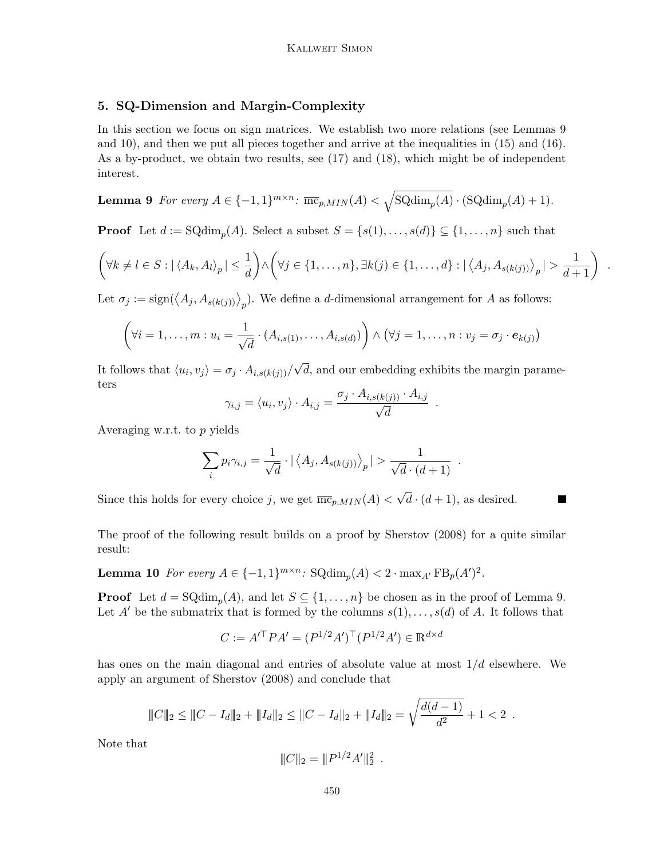# <span id="page-13-0"></span>5. SQ-Dimension and Margin-Complexity

In this section we focus on sign matrices. We establish two more relations (see Lemmas [9](#page-13-1) and [10\)](#page-13-2), and then we put all pieces together and arrive at the inequalities in [\(15\)](#page-14-1) and [\(16\)](#page-14-2). As a by-product, we obtain two results, see [\(17\)](#page-14-3) and [\(18\)](#page-14-4), which might be of independent interest.

<span id="page-13-1"></span>**Lemma 9** For every 
$$
A \in \{-1, 1\}^{m \times n}
$$
:  $\overline{\text{mc}}_{p,MIN}(A) < \sqrt{\text{SQdim}_p(A)} \cdot (\text{SQdim}_p(A) + 1)$ .

**Proof** Let  $d := \text{SQdim}_p(A)$ . Select a subset  $S = \{s(1), \ldots, s(d)\} \subseteq \{1, \ldots, n\}$  such that

$$
\left(\forall k \neq l \in S : |\langle A_k, A_l \rangle_p| \leq \frac{1}{d}\right) \land \left(\forall j \in \{1, \dots, n\}, \exists k(j) \in \{1, \dots, d\} : |\langle A_j, A_{s(k(j))} \rangle_p| > \frac{1}{d+1}\right)
$$

.

 $\blacksquare$ 

Let  $\sigma_j := \text{sign}(\langle A_j, A_{s(k(j))}\rangle_p)$ . We define a d-dimensional arrangement for A as follows:

$$
(\forall i=1,\ldots,m: u_i=\frac{1}{\sqrt{d}}\cdot (A_{i,s(1)},\ldots,A_{i,s(d)})\bigg)\wedge (\forall j=1,\ldots,n: v_j=\sigma_j\cdot e_{k(j)})
$$

It follows that  $\langle u_i, v_j \rangle = \sigma_j \cdot A_{i,s(k(j))}/\sqrt{\frac{(\sigma_j \cdot \sigma_j)}{\sigma_j}}$ √ d, and our embedding exhibits the margin parameters

$$
\gamma_{i,j} = \langle u_i, v_j \rangle \cdot A_{i,j} = \frac{\sigma_j \cdot A_{i,s(k(j))} \cdot A_{i,j}}{\sqrt{d}}.
$$

Averaging w.r.t. to p yields

$$
\sum_{i} p_i \gamma_{i,j} = \frac{1}{\sqrt{d}} \cdot |\langle A_j, A_{s(k(j))} \rangle_p| > \frac{1}{\sqrt{d} \cdot (d+1)}.
$$

Since this holds for every choice j, we get  $\overline{\text{mc}}_{p,MIN}(A)$  < √  $d \cdot (d+1)$ , as desired.

<span id="page-13-2"></span>The proof of the following result builds on a proof by [Sherstov](#page-18-6) [\(2008\)](#page-18-6) for a quite similar result:

**Lemma 10** For every  $A \in \{-1,1\}^{m \times n}$ :  $\text{SQdim}_p(A) < 2 \cdot \max_{A'} \text{FB}_p(A')^2$ .

**Proof** Let  $d = \text{SQdim}_p(A)$ , and let  $S \subseteq \{1, ..., n\}$  be chosen as in the proof of Lemma [9.](#page-13-1) Let A' be the submatrix that is formed by the columns  $s(1), \ldots, s(d)$  of A. It follows that

$$
C := A'^{\top} P A' = (P^{1/2} A')^{\top} (P^{1/2} A') \in \mathbb{R}^{d \times d}
$$

has ones on the main diagonal and entries of absolute value at most  $1/d$  elsewhere. We apply an argument of [Sherstov](#page-18-6) [\(2008\)](#page-18-6) and conclude that

$$
|\!|\!| C|\!|\!|_{2} \leq |\!|\!| C - I_d |\!|\!|_{2} + |\!|\!| I_d |\!|\!|_{2} \leq |\!| C - I_d |\!|\!|_{2} + |\!|\!| I_d |\!|\!|_{2} = \sqrt{\frac{d(d-1)}{d^2}} + 1 < 2.
$$

Note that

$$
|\!|\!|C|\!|\!|_2 = |\!|\!|P^{1/2}A'|\!|\!|_2^2.
$$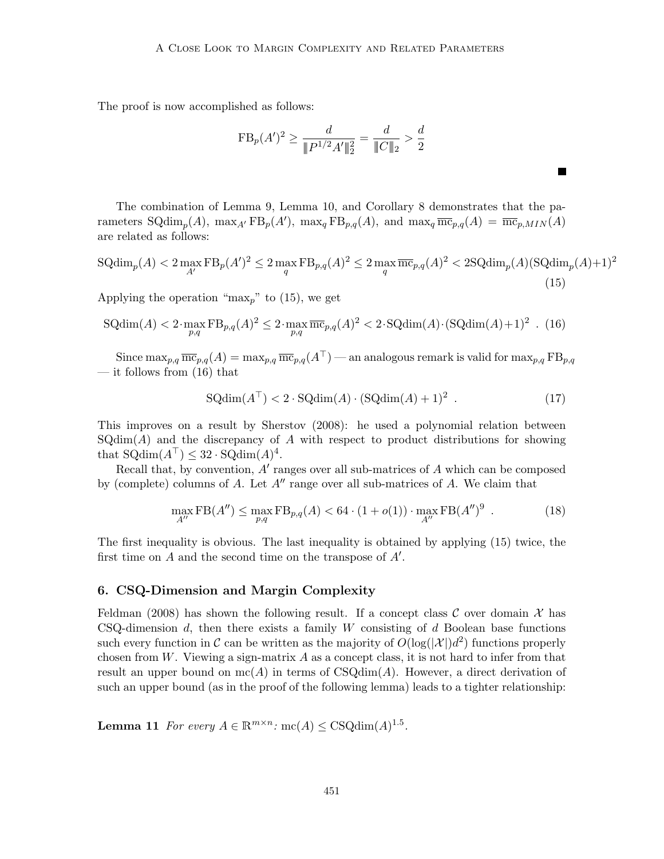The proof is now accomplished as follows:

$$
FB_p(A')^2 \ge \frac{d}{\|P^{1/2}A'\|_2^2} = \frac{d}{\|C\|_2} > \frac{d}{2}
$$

The combination of Lemma [9,](#page-13-1) Lemma [10,](#page-13-2) and Corollary [8](#page-12-0) demonstrates that the parameters SQdim<sub>p</sub>(A), max<sub>A'</sub> FB<sub>p</sub>(A'), max<sub>q</sub> FB<sub>p,q</sub>(A), and max<sub>q</sub>  $\overline{\text{mc}}_{p,q}(A) = \overline{\text{mc}}_{p,MIN}(A)$ are related as follows:

<span id="page-14-1"></span>
$$
SQdim_p(A) < 2 \max_{A'} FB_p(A')^2 \le 2 \max_q FB_{p,q}(A)^2 \le 2 \max_q \overline{\text{mc}}_{p,q}(A)^2 < 2SQdim_p(A)(SQdim_p(A)+1)^2
$$
\n(15)

Applying the operation " $\max_p$ " to [\(15\)](#page-14-1), we get

<span id="page-14-2"></span>
$$
\text{SQdim}(A) < 2 \cdot \max_{p,q} \text{FB}_{p,q}(A)^2 \le 2 \cdot \max_{p,q} \overline{\text{mc}}_{p,q}(A)^2 < 2 \cdot \text{SQdim}(A) \cdot (\text{SQdim}(A) + 1)^2 \quad (16)
$$

Since  $\max_{p,q} \overline{\text{mc}}_{p,q}(A) = \max_{p,q} \overline{\text{mc}}_{p,q}(A^{\top})$  — an analogous remark is valid for  $\max_{p,q} FB_{p,q}$ — it follows from  $(16)$  that

<span id="page-14-3"></span>
$$
SQdim(AT) < 2 \cdot SQdim(A) \cdot (SQdim(A) + 1)2.
$$
 (17)

 $\blacksquare$ 

This improves on a result by [Sherstov](#page-18-6) [\(2008\)](#page-18-6): he used a polynomial relation between  $\text{SQdim}(A)$  and the discrepancy of A with respect to product distributions for showing that  $\mathrm{SQdim}(A^\top) \leq 32 \cdot \mathrm{SQdim}(A)^4$ .

Recall that, by convention,  $A'$  ranges over all sub-matrices of  $A$  which can be composed by (complete) columns of  $A$ . Let  $A''$  range over all sub-matrices of  $A$ . We claim that

<span id="page-14-4"></span>
$$
\max_{A''} \text{FB}(A'') \le \max_{p,q} \text{FB}_{p,q}(A) < 64 \cdot (1 + o(1)) \cdot \max_{A''} \text{FB}(A'')^9 \tag{18}
$$

The first inequality is obvious. The last inequality is obtained by applying [\(15\)](#page-14-1) twice, the first time on  $A$  and the second time on the transpose of  $A'$ .

### <span id="page-14-0"></span>6. CSQ-Dimension and Margin Complexity

[Feldman](#page-18-4) [\(2008\)](#page-18-4) has shown the following result. If a concept class  $\mathcal C$  over domain  $\mathcal X$  has CSQ-dimension  $d$ , then there exists a family W consisting of  $d$  Boolean base functions such every function in C can be written as the majority of  $O(\log(|\mathcal{X}|)d^2)$  functions properly chosen from W. Viewing a sign-matrix  $A$  as a concept class, it is not hard to infer from that result an upper bound on  $mc(A)$  in terms of  $CSQdim(A)$ . However, a direct derivation of such an upper bound (as in the proof of the following lemma) leads to a tighter relationship:

**Lemma 11** For every  $A \in \mathbb{R}^{m \times n}$ : mc(A)  $\leq$  CSQdim(A)<sup>1.5</sup>.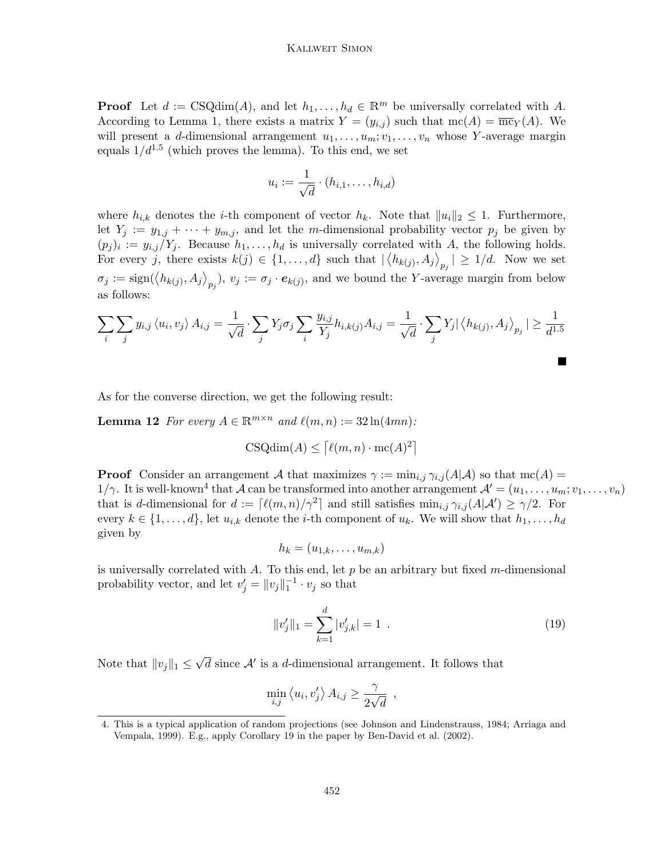#### Kallweit Simon

**Proof** Let  $d := \text{CSQdim}(A)$ , and let  $h_1, \ldots, h_d \in \mathbb{R}^m$  be universally correlated with A. According to Lemma [1,](#page-7-2) there exists a matrix  $Y = (y_{i,j})$  such that  $mc(A) = \overline{mc}_Y(A)$ . We will present a d-dimensional arrangement  $u_1, \ldots, u_m; v_1, \ldots, v_n$  whose Y-average margin equals  $1/d^{1.5}$  (which proves the lemma). To this end, we set

$$
u_i := \frac{1}{\sqrt{d}} \cdot (h_{i,1}, \dots, h_{i,d})
$$

where  $h_{i,k}$  denotes the *i*-th component of vector  $h_k$ . Note that  $||u_i||_2 \leq 1$ . Furthermore, let  $Y_j := y_{1,j} + \cdots + y_{m,j}$ , and let the m-dimensional probability vector  $p_j$  be given by  $(p_j)_i := y_{i,j}/Y_j$ . Because  $h_1, \ldots, h_d$  is universally correlated with A, the following holds. For every j, there exists  $k(j) \in \{1, ..., d\}$  such that  $|\langle h_{k(j)}, A_j \rangle_{p_j}| \geq 1/d$ . Now we set  $\sigma_j := \text{sign}(\langle h_{k(j)}, A_j \rangle_{p_j}), v_j := \sigma_j \cdot e_{k(j)}, \text{ and we bound the } Y\text{-average margin from below}$ as follows:

$$
\sum_{i} \sum_{j} y_{i,j} \langle u_i, v_j \rangle A_{i,j} = \frac{1}{\sqrt{d}} \cdot \sum_{j} Y_j \sigma_j \sum_{i} \frac{y_{i,j}}{Y_j} h_{i,k(j)} A_{i,j} = \frac{1}{\sqrt{d}} \cdot \sum_{j} Y_j | \langle h_{k(j)}, A_j \rangle_{p_j} | \ge \frac{1}{d^{1.5}}
$$

As for the converse direction, we get the following result:

**Lemma 12** For every  $A \in \mathbb{R}^{m \times n}$  and  $\ell(m, n) := 32 \ln(4mn)$ :

$$
CSQdim(A) \leq \lceil \ell(m, n) \cdot mc(A)^2 \rceil
$$

**Proof** Consider an arrangement A that maximizes  $\gamma := \min_{i,j} \gamma_{i,j}(A|\mathcal{A})$  so that  $\text{mc}(A) =$  $1/\gamma$ . It is well-known<sup>[4](#page-15-0)</sup> that A can be transformed into another arrangement  $\mathcal{A}' = (u_1, \ldots, u_m; v_1, \ldots, v_n)$ that is d-dimensional for  $d := \lceil \ell(m, n)/\gamma^2 \rceil$  and still satisfies  $\min_{i,j} \gamma_{i,j} (A|\mathcal{A}') \ge \gamma/2$ . For every  $k \in \{1, \ldots, d\}$ , let  $u_{i,k}$  denote the *i*-th component of  $u_k$ . We will show that  $h_1, \ldots, h_d$ given by

$$
h_k = (u_{1,k}, \ldots, u_{m,k})
$$

is universally correlated with  $A$ . To this end, let  $p$  be an arbitrary but fixed m-dimensional probability vector, and let  $v'_j = ||v_j||_1^{-1} \cdot v_j$  so that

<span id="page-15-1"></span>
$$
||v'_j||_1 = \sum_{k=1}^d |v'_{j,k}| = 1.
$$
 (19)

Note that  $||v_j||_1 \leq$  $\sqrt{d}$  since  $\mathcal{A}'$  is a d-dimensional arrangement. It follows that

$$
\min_{i,j} \langle u_i, v_j' \rangle A_{i,j} \ge \frac{\gamma}{2\sqrt{d}} \enspace ,
$$

<span id="page-15-0"></span><sup>4.</sup> This is a typical application of random projections (see [Johnson and Lindenstrauss, 1984;](#page-18-12) [Arriaga and](#page-17-2) [Vempala, 1999\)](#page-17-2). E.g., apply Corollary 19 in the paper by [Ben-David et al.](#page-17-3) [\(2002\)](#page-17-3).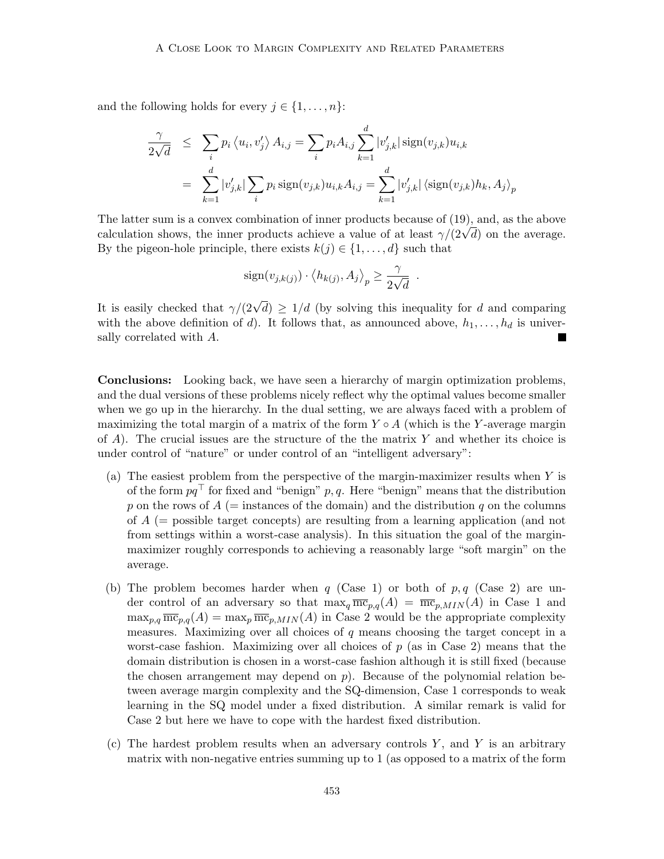and the following holds for every  $j \in \{1, \ldots, n\}$ :

$$
\frac{\gamma}{2\sqrt{d}} \leq \sum_{i} p_i \langle u_i, v_j' \rangle A_{i,j} = \sum_{i} p_i A_{i,j} \sum_{k=1}^d |v'_{j,k}| \operatorname{sign}(v_{j,k}) u_{i,k}
$$

$$
= \sum_{k=1}^d |v'_{j,k}| \sum_{i} p_i \operatorname{sign}(v_{j,k}) u_{i,k} A_{i,j} = \sum_{k=1}^d |v'_{j,k}| \langle \operatorname{sign}(v_{j,k}) h_k, A_j \rangle_p
$$

The latter sum is a convex combination of inner products because of [\(19\)](#page-15-1), and, as the above The latter sum is a convex combination of inner products because of (19), and, as the above calculation shows, the inner products achieve a value of at least  $\gamma/(2\sqrt{d})$  on the average. By the pigeon-hole principle, there exists  $k(j) \in \{1, \ldots, d\}$  such that

$$
sign(v_{j,k(j)}) \cdot \langle h_{k(j)}, A_j \rangle_p \ge \frac{\gamma}{2\sqrt{d}}.
$$

It is easily checked that  $\gamma/(2\sqrt{d}) \geq 1/d$  (by solving this inequality for d and comparing with the above definition of d). It follows that, as announced above,  $h_1, \ldots, h_d$  is universally correlated with A.

Conclusions: Looking back, we have seen a hierarchy of margin optimization problems, and the dual versions of these problems nicely reflect why the optimal values become smaller when we go up in the hierarchy. In the dual setting, we are always faced with a problem of maximizing the total margin of a matrix of the form  $Y \circ A$  (which is the Y-average margin of  $A$ ). The crucial issues are the structure of the the matrix Y and whether its choice is under control of "nature" or under control of an "intelligent adversary":

- (a) The easiest problem from the perspective of the margin-maximizer results when Y is of the form  $pq^{\top}$  for fixed and "benign" p, q. Here "benign" means that the distribution p on the rows of  $A$  (= instances of the domain) and the distribution q on the columns of  $A$  (= possible target concepts) are resulting from a learning application (and not from settings within a worst-case analysis). In this situation the goal of the marginmaximizer roughly corresponds to achieving a reasonably large "soft margin" on the average.
- (b) The problem becomes harder when q (Case 1) or both of  $p, q$  (Case 2) are under control of an adversary so that  $\max_q \overline{mc}_{p,q}(A) = \overline{mc}_{p,MIN}(A)$  in Case 1 and  $\max_{p,q} \overline{\text{mc}}_{p,q}(A) = \max_p \overline{\text{mc}}_{p,MIN}(A)$  in Case 2 would be the appropriate complexity measures. Maximizing over all choices of  $q$  means choosing the target concept in a worst-case fashion. Maximizing over all choices of  $p$  (as in Case 2) means that the domain distribution is chosen in a worst-case fashion although it is still fixed (because the chosen arrangement may depend on  $p$ ). Because of the polynomial relation between average margin complexity and the SQ-dimension, Case 1 corresponds to weak learning in the SQ model under a fixed distribution. A similar remark is valid for Case 2 but here we have to cope with the hardest fixed distribution.
- (c) The hardest problem results when an adversary controls  $Y$ , and  $Y$  is an arbitrary matrix with non-negative entries summing up to 1 (as opposed to a matrix of the form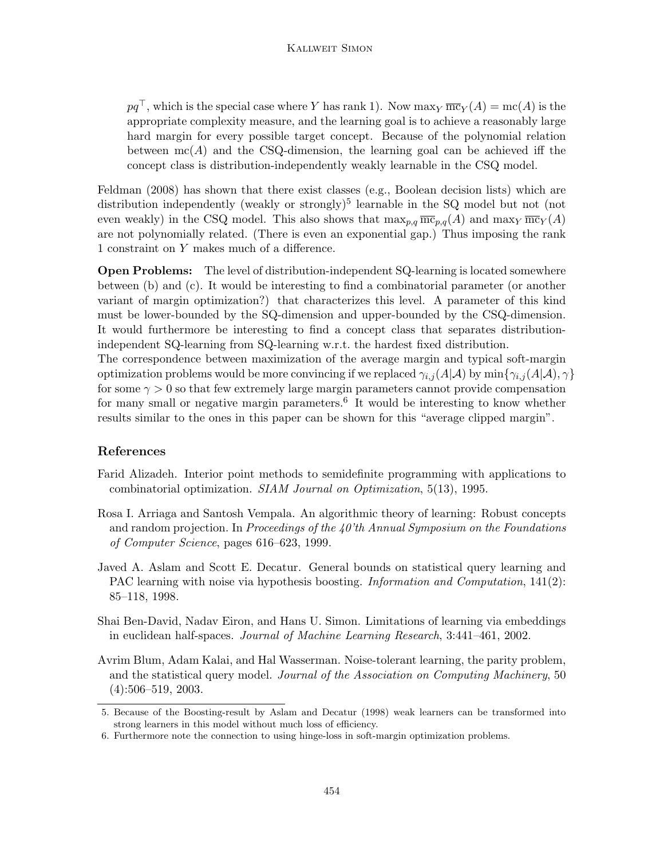$pq^{\top}$ , which is the special case where Y has rank 1). Now maxy  $\overline{mc}_Y(A) = mc(A)$  is the appropriate complexity measure, and the learning goal is to achieve a reasonably large hard margin for every possible target concept. Because of the polynomial relation between  $mc(A)$  and the CSQ-dimension, the learning goal can be achieved iff the concept class is distribution-independently weakly learnable in the CSQ model.

[Feldman](#page-18-4) [\(2008\)](#page-18-4) has shown that there exist classes (e.g., Boolean decision lists) which are distribution independently (weakly or strongly)<sup>[5](#page-17-4)</sup> learnable in the SQ model but not (not even weakly) in the CSQ model. This also shows that  $\max_{p,q} \overline{\text{mc}}_{p,q}(A)$  and  $\max_Y \overline{\text{mc}}_Y(A)$ are not polynomially related. (There is even an exponential gap.) Thus imposing the rank 1 constraint on Y makes much of a difference.

Open Problems: The level of distribution-independent SQ-learning is located somewhere between (b) and (c). It would be interesting to find a combinatorial parameter (or another variant of margin optimization?) that characterizes this level. A parameter of this kind must be lower-bounded by the SQ-dimension and upper-bounded by the CSQ-dimension. It would furthermore be interesting to find a concept class that separates distributionindependent SQ-learning from SQ-learning w.r.t. the hardest fixed distribution. The correspondence between maximization of the average margin and typical soft-margin optimization problems would be more convincing if we replaced  $\gamma_{i,j}(A|\mathcal{A})$  by  $\min\{\gamma_{i,j}(A|\mathcal{A}),\gamma\}$ 

for some  $\gamma > 0$  so that few extremely large margin parameters cannot provide compensation for many small or negative margin parameters.<sup>[6](#page-17-5)</sup> It would be interesting to know whether results similar to the ones in this paper can be shown for this "average clipped margin".

# References

- <span id="page-17-1"></span>Farid Alizadeh. Interior point methods to semidefinite programming with applications to combinatorial optimization. SIAM Journal on Optimization, 5(13), 1995.
- <span id="page-17-2"></span>Rosa I. Arriaga and Santosh Vempala. An algorithmic theory of learning: Robust concepts and random projection. In Proceedings of the  $40'$ th Annual Symposium on the Foundations of Computer Science, pages 616–623, 1999.
- <span id="page-17-6"></span>Javed A. Aslam and Scott E. Decatur. General bounds on statistical query learning and PAC learning with noise via hypothesis boosting. *Information and Computation*, 141(2): 85–118, 1998.
- <span id="page-17-3"></span>Shai Ben-David, Nadav Eiron, and Hans U. Simon. Limitations of learning via embeddings in euclidean half-spaces. Journal of Machine Learning Research, 3:441–461, 2002.
- <span id="page-17-0"></span>Avrim Blum, Adam Kalai, and Hal Wasserman. Noise-tolerant learning, the parity problem, and the statistical query model. Journal of the Association on Computing Machinery, 50 (4):506–519, 2003.

<span id="page-17-4"></span><sup>5.</sup> Because of the Boosting-result by [Aslam and Decatur](#page-17-6) [\(1998\)](#page-17-6) weak learners can be transformed into strong learners in this model without much loss of efficiency.

<span id="page-17-5"></span><sup>6.</sup> Furthermore note the connection to using hinge-loss in soft-margin optimization problems.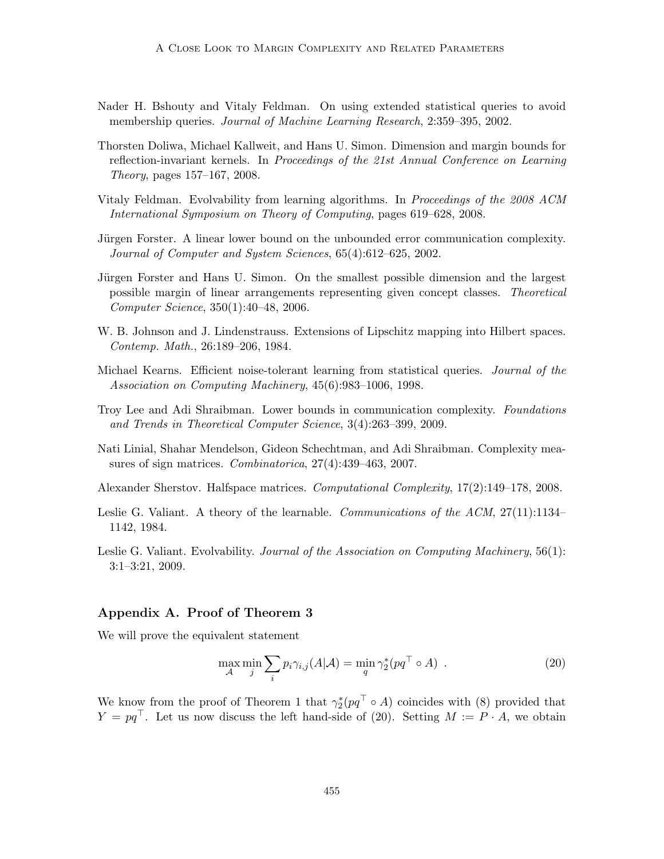- <span id="page-18-3"></span>Nader H. Bshouty and Vitaly Feldman. On using extended statistical queries to avoid membership queries. *Journal of Machine Learning Research*, 2:359–395, 2002.
- <span id="page-18-11"></span>Thorsten Doliwa, Michael Kallweit, and Hans U. Simon. Dimension and margin bounds for reflection-invariant kernels. In Proceedings of the 21st Annual Conference on Learning Theory, pages 157–167, 2008.
- <span id="page-18-4"></span>Vitaly Feldman. Evolvability from learning algorithms. In Proceedings of the 2008 ACM International Symposium on Theory of Computing, pages 619–628, 2008.
- <span id="page-18-0"></span>Jürgen Forster. A linear lower bound on the unbounded error communication complexity. Journal of Computer and System Sciences, 65(4):612–625, 2002.
- <span id="page-18-9"></span>Jürgen Forster and Hans U. Simon. On the smallest possible dimension and the largest possible margin of linear arrangements representing given concept classes. Theoretical Computer Science, 350(1):40–48, 2006.
- <span id="page-18-12"></span>W. B. Johnson and J. Lindenstrauss. Extensions of Lipschitz mapping into Hilbert spaces. Contemp. Math., 26:189–206, 1984.
- <span id="page-18-1"></span>Michael Kearns. Efficient noise-tolerant learning from statistical queries. Journal of the Association on Computing Machinery, 45(6):983–1006, 1998.
- <span id="page-18-8"></span>Troy Lee and Adi Shraibman. Lower bounds in communication complexity. Foundations and Trends in Theoretical Computer Science, 3(4):263–399, 2009.
- <span id="page-18-7"></span>Nati Linial, Shahar Mendelson, Gideon Schechtman, and Adi Shraibman. Complexity measures of sign matrices. Combinatorica, 27(4):439–463, 2007.
- <span id="page-18-6"></span>Alexander Sherstov. Halfspace matrices. Computational Complexity, 17(2):149–178, 2008.
- <span id="page-18-2"></span>Leslie G. Valiant. A theory of the learnable. Communications of the ACM, 27(11):1134– 1142, 1984.
- <span id="page-18-5"></span>Leslie G. Valiant. Evolvability. Journal of the Association on Computing Machinery, 56(1): 3:1–3:21, 2009.

### <span id="page-18-10"></span>Appendix A. Proof of Theorem 3

We will prove the equivalent statement

<span id="page-18-13"></span>
$$
\max_{\mathcal{A}} \min_{j} \sum_{i} p_{i} \gamma_{i,j}(A|\mathcal{A}) = \min_{q} \gamma_{2}^{*}(pq^{\top} \circ A) . \tag{20}
$$

We know from the proof of Theorem [1](#page-7-2) that  $\gamma_2^*(pq^\top \circ A)$  coincides with [\(8\)](#page-7-0) provided that  $Y = pq^{\top}$ . Let us now discuss the left hand-side of [\(20\)](#page-18-13). Setting  $M := P \cdot A$ , we obtain